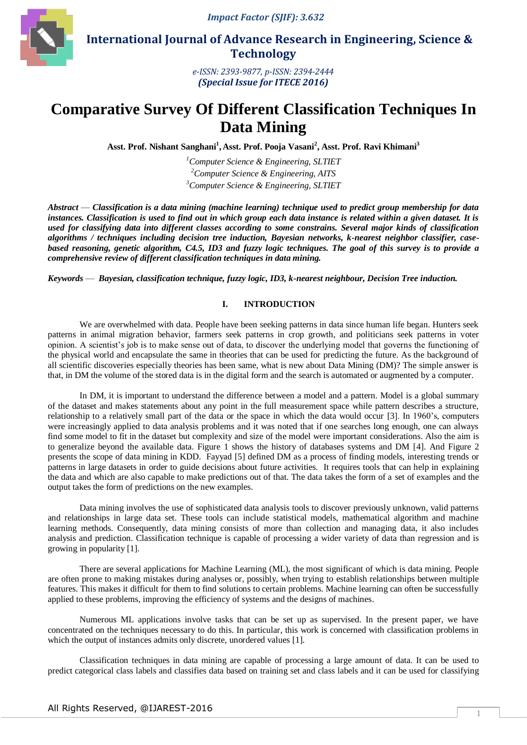*Impact Factor (SJIF): 3.632*



 **International Journal of Advance Research in Engineering, Science & Technology** 

> *e-ISSN: 2393-9877, p-ISSN: 2394-2444 (Special Issue for ITECE 2016)*

# **Comparative Survey Of Different Classification Techniques In Data Mining**

**Asst. Prof. Nishant Sanghani<sup>1</sup> , Asst. Prof. Pooja Vasani<sup>2</sup> , Asst. Prof. Ravi Khimani<sup>3</sup>**

*<sup>1</sup>Computer Science & Engineering, SLTIET <sup>2</sup>Computer Science & Engineering, AITS <sup>3</sup>Computer Science & Engineering, SLTIET*

*Abstract* — *Classification is a data mining (machine learning) technique used to predict group membership for data instances. Classification is used to find out in which group each data instance is related within a given dataset. It is used for classifying data into different classes according to some constrains. Several major kinds of classification algorithms / techniques including decision tree induction, Bayesian networks, k-nearest neighbor classifier, casebased reasoning, genetic algorithm, C4.5, ID3 and fuzzy logic techniques. The goal of this survey is to provide a comprehensive review of different classification techniques in data mining.*

*Keywords* — *Bayesian, classification technique, fuzzy logic, ID3, k-nearest neighbour, Decision Tree induction.*

# **I. INTRODUCTION**

We are overwhelmed with data. People have been seeking patterns in data since human life began. Hunters seek patterns in animal migration behavior, farmers seek patterns in crop growth, and politicians seek patterns in voter opinion. A scientist's job is to make sense out of data, to discover the underlying model that governs the functioning of the physical world and encapsulate the same in theories that can be used for predicting the future. As the background of all scientific discoveries especially theories has been same, what is new about Data Mining (DM)? The simple answer is that, in DM the volume of the stored data is in the digital form and the search is automated or augmented by a computer.

In DM, it is important to understand the difference between a model and a pattern. Model is a global summary of the dataset and makes statements about any point in the full measurement space while pattern describes a structure, relationship to a relatively small part of the data or the space in which the data would occur [3]. In 1960's, computers were increasingly applied to data analysis problems and it was noted that if one searches long enough, one can always find some model to fit in the dataset but complexity and size of the model were important considerations. Also the aim is to generalize beyond the available data. Figure 1 shows the history of databases systems and DM [4]. And Figure 2 presents the scope of data mining in KDD. Fayyad [5] defined DM as a process of finding models, interesting trends or patterns in large datasets in order to guide decisions about future activities. It requires tools that can help in explaining the data and which are also capable to make predictions out of that. The data takes the form of a set of examples and the output takes the form of predictions on the new examples.

Data mining involves the use of sophisticated data analysis tools to discover previously unknown, valid patterns and relationships in large data set. These tools can include statistical models, mathematical algorithm and machine learning methods. Consequently, data mining consists of more than collection and managing data, it also includes analysis and prediction. Classification technique is capable of processing a wider variety of data than regression and is growing in popularity [1].

There are several applications for Machine Learning (ML), the most significant of which is data mining. People are often prone to making mistakes during analyses or, possibly, when trying to establish relationships between multiple features. This makes it difficult for them to find solutions to certain problems. Machine learning can often be successfully applied to these problems, improving the efficiency of systems and the designs of machines.

Numerous ML applications involve tasks that can be set up as supervised. In the present paper, we have concentrated on the techniques necessary to do this. In particular, this work is concerned with classification problems in which the output of instances admits only discrete, unordered values [1].

Classification techniques in data mining are capable of processing a large amount of data. It can be used to predict categorical class labels and classifies data based on training set and class labels and it can be used for classifying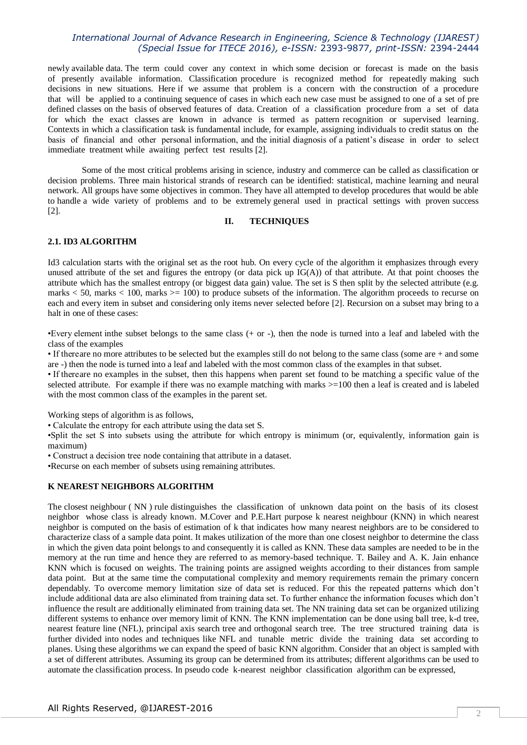newly available data. The term could cover any context in which some decision or forecast is made on the basis of presently available information. Classification procedure is recognized method for repeatedly making such decisions in new situations. Here if we assume that problem is a concern with the construction of a procedure that will be applied to a continuing sequence of cases in which each new case must be assigned to one of a set of pre defined classes on the basis of observed features of data. Creation of a classification procedure from a set of data for which the exact classes are known in advance is termed as pattern recognition or supervised learning. Contexts in which a classification task is fundamental include, for example, assigning individuals to credit status on the basis of financial and other personal information, and the initial diagnosis of a patient's disease in order to select immediate treatment while awaiting perfect test results [2].

Some of the most critical problems arising in science, industry and commerce can be called as classification or decision problems. Three main historical strands of research can be identified: statistical, machine learning and neural network. All groups have some objectives in common. They have all attempted to develop procedures that would be able to handle a wide variety of problems and to be extremely general used in practical settings with proven success [2].

## **II. TECHNIQUES**

## **2.1. ID3 ALGORITHM**

Id3 calculation starts with the original set as the root hub. On every cycle of the algorithm it emphasizes through every unused attribute of the set and figures the entropy (or data pick up  $IG(A)$ ) of that attribute. At that point chooses the attribute which has the smallest entropy (or biggest data gain) value. The set is S then split by the selected attribute (e.g. marks  $< 50$ , marks  $< 100$ , marks  $> = 100$ ) to produce subsets of the information. The algorithm proceeds to recurse on each and every item in subset and considering only items never selected before [2]. Recursion on a subset may bring to a halt in one of these cases:

•Every element inthe subset belongs to the same class (+ or -), then the node is turned into a leaf and labeled with the class of the examples

• If thereare no more attributes to be selected but the examples still do not belong to the same class (some are + and some are -) then the node is turned into a leaf and labeled with the most common class of the examples in that subset.

• If thereare no examples in the subset, then this happens when parent set found to be matching a specific value of the selected attribute. For example if there was no example matching with marks  $>=100$  then a leaf is created and is labeled with the most common class of the examples in the parent set.

Working steps of algorithm is as follows,

• Calculate the entropy for each attribute using the data set S.

•Split the set S into subsets using the attribute for which entropy is minimum (or, equivalently, information gain is maximum)

• Construct a decision tree node containing that attribute in a dataset.

•Recurse on each member of subsets using remaining attributes.

#### **K NEAREST NEIGHBORS ALGORITHM**

The closest neighbour ( NN ) rule distinguishes the classification of unknown data point on the basis of its closest neighbor whose class is already known. M.Cover and P.E.Hart purpose k nearest neighbour (KNN) in which nearest neighbor is computed on the basis of estimation of k that indicates how many nearest neighbors are to be considered to characterize class of a sample data point. It makes utilization of the more than one closest neighbor to determine the class in which the given data point belongs to and consequently it is called as KNN. These data samples are needed to be in the memory at the run time and hence they are referred to as memory-based technique. T. Bailey and A. K. Jain enhance KNN which is focused on weights. The training points are assigned weights according to their distances from sample data point. But at the same time the computational complexity and memory requirements remain the primary concern dependably. To overcome memory limitation size of data set is reduced. For this the repeated patterns which don't include additional data are also eliminated from training data set. To further enhance the information focuses which don't influence the result are additionally eliminated from training data set. The NN training data set can be organized utilizing different systems to enhance over memory limit of KNN. The KNN implementation can be done using ball tree, k-d tree, nearest feature line (NFL), principal axis search tree and orthogonal search tree. The tree structured training data is further divided into nodes and techniques like NFL and tunable metric divide the training data set according to planes. Using these algorithms we can expand the speed of basic KNN algorithm. Consider that an object is sampled with a set of different attributes. Assuming its group can be determined from its attributes; different algorithms can be used to automate the classification process. In pseudo code k-nearest neighbor classification algorithm can be expressed,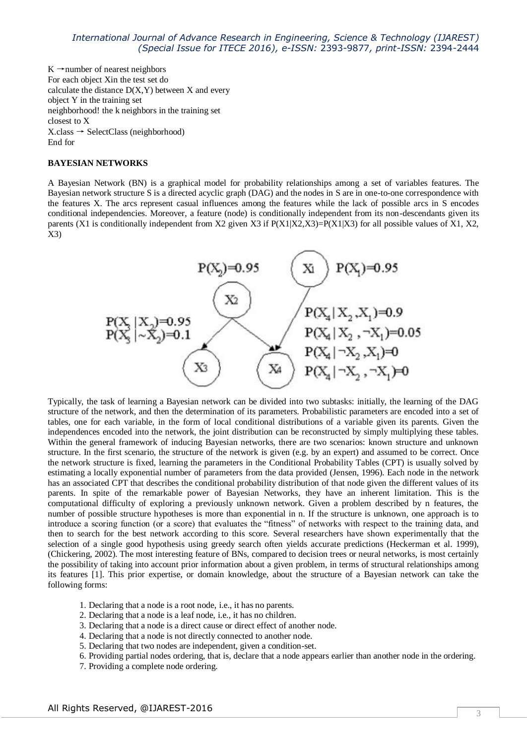$K \rightarrow$ number of nearest neighbors For each object Xin the test set do calculate the distance  $D(X, Y)$  between X and every object Y in the training set neighborhood! the k neighbors in the training set closest to X  $X.class \rightarrow SelectClass (neighborhood)$ End for

#### **BAYESIAN NETWORKS**

A Bayesian Network (BN) is a graphical model for probability relationships among a set of variables features. The Bayesian network structure S is a directed acyclic graph (DAG) and the nodes in S are in one-to-one correspondence with the features X. The arcs represent casual influences among the features while the lack of possible arcs in S encodes conditional independencies. Moreover, a feature (node) is conditionally independent from its non-descendants given its parents (X1 is conditionally independent from X2 given X3 if  $P(X1|X2,X3)=P(X1|X3)$  for all possible values of X1, X2, X3)



Typically, the task of learning a Bayesian network can be divided into two subtasks: initially, the learning of the DAG structure of the network, and then the determination of its parameters. Probabilistic parameters are encoded into a set of tables, one for each variable, in the form of local conditional distributions of a variable given its parents. Given the independences encoded into the network, the joint distribution can be reconstructed by simply multiplying these tables. Within the general framework of inducing Bayesian networks, there are two scenarios: known structure and unknown structure. In the first scenario, the structure of the network is given (e.g. by an expert) and assumed to be correct. Once the network structure is fixed, learning the parameters in the Conditional Probability Tables (CPT) is usually solved by estimating a locally exponential number of parameters from the data provided (Jensen, 1996). Each node in the network has an associated CPT that describes the conditional probability distribution of that node given the different values of its parents. In spite of the remarkable power of Bayesian Networks, they have an inherent limitation. This is the computational difficulty of exploring a previously unknown network. Given a problem described by n features, the number of possible structure hypotheses is more than exponential in n. If the structure is unknown, one approach is to introduce a scoring function (or a score) that evaluates the "fitness" of networks with respect to the training data, and then to search for the best network according to this score. Several researchers have shown experimentally that the selection of a single good hypothesis using greedy search often yields accurate predictions (Heckerman et al. 1999), (Chickering, 2002). The most interesting feature of BNs, compared to decision trees or neural networks, is most certainly the possibility of taking into account prior information about a given problem, in terms of structural relationships among its features [1]. This prior expertise, or domain knowledge, about the structure of a Bayesian network can take the following forms:

- 1. Declaring that a node is a root node, i.e., it has no parents.
- 2. Declaring that a node is a leaf node, i.e., it has no children.
- 3. Declaring that a node is a direct cause or direct effect of another node.
- 4. Declaring that a node is not directly connected to another node.
- 5. Declaring that two nodes are independent, given a condition-set.
- 6. Providing partial nodes ordering, that is, declare that a node appears earlier than another node in the ordering.
- 7. Providing a complete node ordering.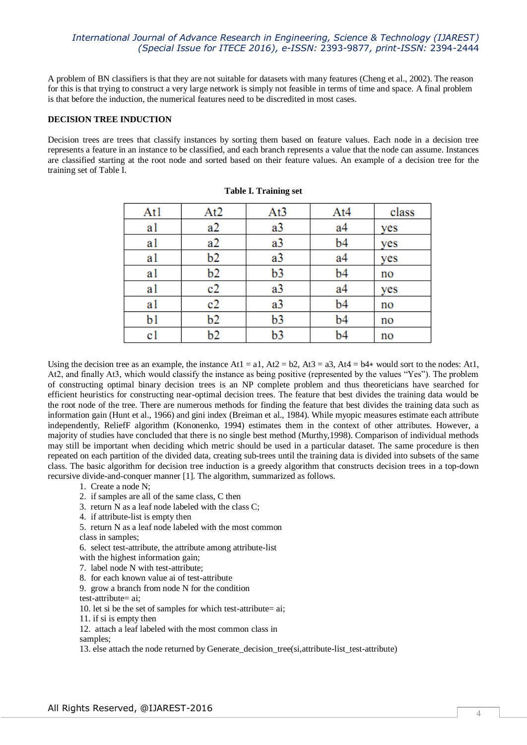A problem of BN classifiers is that they are not suitable for datasets with many features (Cheng et al., 2002). The reason for this is that trying to construct a very large network is simply not feasible in terms of time and space. A final problem is that before the induction, the numerical features need to be discredited in most cases.

## **DECISION TREE INDUCTION**

Decision trees are trees that classify instances by sorting them based on feature values. Each node in a decision tree represents a feature in an instance to be classified, and each branch represents a value that the node can assume. Instances are classified starting at the root node and sorted based on their feature values. An example of a decision tree for the training set of Table I.

| At1 | At <sub>2</sub> | At <sub>3</sub> | At4            | class |
|-----|-----------------|-----------------|----------------|-------|
| a1  | a2              | a3              | a4             | yes   |
| al  | a2              | a3              | b4             | yes   |
| al  | b2              | a3              | a <sub>4</sub> | yes   |
| al  | b2              | b3              | b4             | no    |
| a1  | c2              | a3              | a4             | yes   |
| al  | c2              | a3              | b4             | no    |
| b1  | b2              | b3              | b4             | no    |
| c1  | b2              | b3              | b4             | no    |

|  | <b>Table I. Training set</b> |  |
|--|------------------------------|--|
|--|------------------------------|--|

Using the decision tree as an example, the instance At1 = a1, At2 = b2, At3 = a3, At4 = b4 $*$  would sort to the nodes: At1, At2, and finally At3, which would classify the instance as being positive (represented by the values "Yes"). The problem of constructing optimal binary decision trees is an NP complete problem and thus theoreticians have searched for efficient heuristics for constructing near-optimal decision trees. The feature that best divides the training data would be the root node of the tree. There are numerous methods for finding the feature that best divides the training data such as information gain (Hunt et al., 1966) and gini index (Breiman et al., 1984). While myopic measures estimate each attribute independently, ReliefF algorithm (Kononenko, 1994) estimates them in the context of other attributes. However, a majority of studies have concluded that there is no single best method (Murthy,1998). Comparison of individual methods may still be important when deciding which metric should be used in a particular dataset. The same procedure is then repeated on each partition of the divided data, creating sub-trees until the training data is divided into subsets of the same class. The basic algorithm for decision tree induction is a greedy algorithm that constructs decision trees in a top-down recursive divide-and-conquer manner [1]. The algorithm, summarized as follows.

1. Create a node N;

2. if samples are all of the same class, C then

- 3. return N as a leaf node labeled with the class C;
- 4. if attribute-list is empty then

5. return N as a leaf node labeled with the most common

class in samples;

6. select test-attribute, the attribute among attribute-list

with the highest information gain;

- 7. label node N with test-attribute;
- 8. for each known value ai of test-attribute
- 9. grow a branch from node N for the condition
- test-attribute= ai;

10. let si be the set of samples for which test-attribute= ai;

- 11. if si is empty then
- 12. attach a leaf labeled with the most common class in

samples;

13. else attach the node returned by Generate\_decision\_tree(si,attribute-list\_test-attribute)